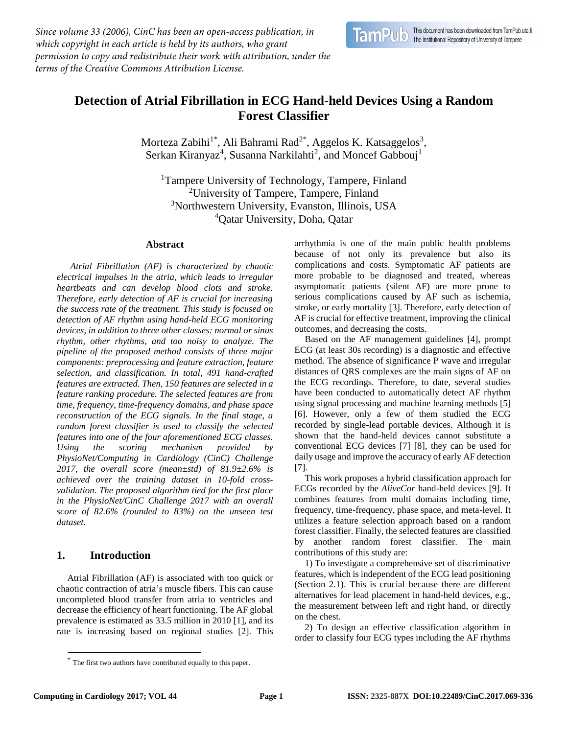*Since volume 33 (2006), CinC has been an open-access publication, in which copyright in each article is held by its authors, who grant permission to copy and redistribute their work with attribution, under the terms of the Creative Commons Attribution License.*

# **Detection of Atrial Fibrillation in ECG Hand-held Devices Using a Random Forest Classifier**

Morteza Zabihi<sup>1\*</sup>, Ali Bahrami Rad<sup>2\*</sup>, Aggelos K. Katsaggelos<sup>3</sup>, Serkan Kiranyaz<sup>4</sup>, Susanna Narkilahti<sup>2</sup>, and Moncef Gabbouj<sup>1</sup>

<sup>1</sup>Tampere University of Technology, Tampere, Finland University of Tampere, Tampere, Finland Northwestern University, Evanston, Illinois, USA Qatar University, Doha, Qatar

#### **Abstract**

*<sup>1</sup>Atrial Fibrillation (AF) is characterized by chaotic electrical impulses in the atria, which leads to irregular heartbeats and can develop blood clots and stroke. Therefore, early detection of AF is crucial for increasing the success rate of the treatment. This study is focused on detection of AF rhythm using hand-held ECG monitoring devices, in addition to three other classes: normal or sinus rhythm, other rhythms, and too noisy to analyze. The pipeline of the proposed method consists of three major components: preprocessing and feature extraction, feature selection, and classification. In total, 491 hand-crafted features are extracted. Then, 150 features are selected in a feature ranking procedure. The selected features are from time, frequency, time-frequency domains, and phase space reconstruction of the ECG signals. In the final stage, a random forest classifier is used to classify the selected features into one of the four aforementioned ECG classes. Using the scoring mechanism provided by PhysioNet/Computing in Cardiology (CinC) Challenge 2017, the overall score (mean±std) of 81.9±2.6% is achieved over the training dataset in 10-fold crossvalidation. The proposed algorithm tied for the first place in the PhysioNet/CinC Challenge 2017 with an overall score of 82.6% (rounded to 83%) on the unseen test dataset.*

# **1. Introduction**

Atrial Fibrillation (AF) is associated with too quick or chaotic contraction of atria's muscle fibers. This can cause uncompleted blood transfer from atria to ventricles and decrease the efficiency of heart functioning. The AF global prevalence is estimated as 33.5 million in 2010 [1], and its rate is increasing based on regional studies [2]. This

The first two authors have contributed equally to this paper.

arrhythmia is one of the main public health problems because of not only its prevalence but also its complications and costs. Symptomatic AF patients are more probable to be diagnosed and treated, whereas asymptomatic patients (silent AF) are more prone to serious complications caused by AF such as ischemia, stroke, or early mortality [3]. Therefore, early detection of AF is crucial for effective treatment, improving the clinical outcomes, and decreasing the costs.

Based on the AF management guidelines [4], prompt ECG (at least 30s recording) is a diagnostic and effective method. The absence of significance P wave and irregular distances of QRS complexes are the main signs of AF on the ECG recordings. Therefore, to date, several studies have been conducted to automatically detect AF rhythm using signal processing and machine learning methods [5] [6]. However, only a few of them studied the ECG recorded by single-lead portable devices. Although it is shown that the hand-held devices cannot substitute a conventional ECG devices [7] [8], they can be used for daily usage and improve the accuracy of early AF detection [7].

This work proposes a hybrid classification approach for ECGs recorded by the *AliveCor* hand-held devices [9]. It combines features from multi domains including time, frequency, time-frequency, phase space, and meta-level. It utilizes a feature selection approach based on a random forest classifier. Finally, the selected features are classified by another random forest classifier. The main contributions of this study are:

1) To investigate a comprehensive set of discriminative features, which is independent of the ECG lead positioning (Section 2.1). This is crucial because there are different alternatives for lead placement in hand-held devices, e.g., the measurement between left and right hand, or directly on the chest.

2) To design an effective classification algorithm in order to classify four ECG types including the AF rhythms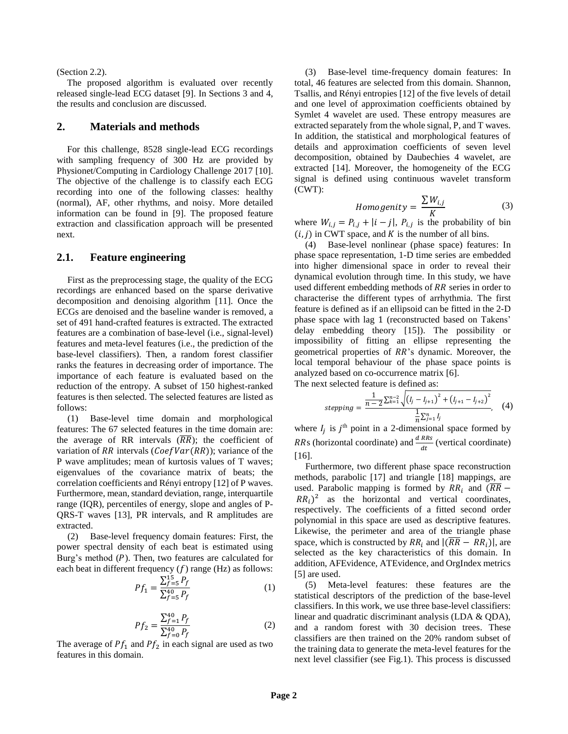#### (Section 2.2).

The proposed algorithm is evaluated over recently released single-lead ECG dataset [9]. In Sections 3 and 4, the results and conclusion are discussed.

# **2. Materials and methods**

For this challenge, 8528 single-lead ECG recordings with sampling frequency of 300 Hz are provided by Physionet/Computing in Cardiology Challenge 2017 [10]. The objective of the challenge is to classify each ECG recording into one of the following classes: healthy (normal), AF, other rhythms, and noisy. More detailed information can be found in [9]. The proposed feature extraction and classification approach will be presented next.

## **2.1. Feature engineering**

First as the preprocessing stage, the quality of the ECG recordings are enhanced based on the sparse derivative decomposition and denoising algorithm [11]. Once the ECGs are denoised and the baseline wander is removed, a set of 491 hand-crafted features is extracted. The extracted features are a combination of base-level (i.e., signal-level) features and meta-level features (i.e., the prediction of the base-level classifiers). Then, a random forest classifier ranks the features in decreasing order of importance. The importance of each feature is evaluated based on the reduction of the entropy. A subset of 150 highest-ranked features is then selected. The selected features are listed as follows:

(1) Base-level time domain and morphological features: The 67 selected features in the time domain are: the average of RR intervals  $(RR)$ ; the coefficient of variation of RR intervals ( $CoefVar(RR)$ ); variance of the P wave amplitudes; mean of kurtosis values of T waves; eigenvalues of the covariance matrix of beats; the correlation coefficients and Rényi entropy [12] of P waves. Furthermore, mean, standard deviation, range, interquartile range (IQR), percentiles of energy, slope and angles of P-QRS-T waves [13], PR intervals, and R amplitudes are extracted.

(2) Base-level frequency domain features: First, the power spectral density of each beat is estimated using Burg's method  $(P)$ . Then, two features are calculated for each beat in different frequency  $(f)$  range (Hz) as follows:

$$
Pf_1 = \frac{\sum_{f=5}^{15} P_f}{\sum_{f=5}^{40} P_f} \tag{1}
$$

$$
Pf_2 = \frac{\sum_{f=1}^{40} P_f}{\sum_{f=0}^{40} P_f} \tag{2}
$$

The average of  $Pf_1$  and  $Pf_2$  in each signal are used as two features in this domain.

(3) Base-level time-frequency domain features: In total, 46 features are selected from this domain. Shannon, Tsallis, and Rényi entropies [12] of the five levels of detail and one level of approximation coefficients obtained by Symlet 4 wavelet are used. These entropy measures are extracted separately from the whole signal, P, and T waves. In addition, the statistical and morphological features of details and approximation coefficients of seven level decomposition, obtained by Daubechies 4 wavelet, are extracted [14]. Moreover, the homogeneity of the ECG signal is defined using continuous wavelet transform (CWT):

$$
Homogeneity = \frac{\sum W_{i,j}}{K}
$$
 (3)

where  $W_{i,j} = P_{i,j} + |i - j|$ ,  $P_{i,j}$  is the probability of bin  $(i, j)$  in CWT space, and K is the number of all bins.

(4) Base-level nonlinear (phase space) features: In phase space representation, 1-D time series are embedded into higher dimensional space in order to reveal their dynamical evolution through time. In this study, we have used different embedding methods of  $RR$  series in order to characterise the different types of arrhythmia. The first feature is defined as if an ellipsoid can be fitted in the 2-D phase space with lag 1 (reconstructed based on Takens' delay embedding theory [15]). The possibility or impossibility of fitting an ellipse representing the geometrical properties of RR's dynamic. Moreover, the local temporal behaviour of the phase space points is analyzed based on co-occurrence matrix [6].

The next selected feature is defined as:

$$
stepping = \frac{\frac{1}{n-2} \sum_{k=1}^{n-2} \sqrt{\left(l_j - l_{j+1}\right)^2 + \left(l_{j+1} - l_{j+2}\right)^2}}{\frac{1}{n} \sum_{j=1}^{n} l_j}, \quad (4)
$$

where  $I_j$  is  $j^{\text{th}}$  point in a 2-dimensional space formed by RRs (horizontal coordinate) and  $\frac{d \text{ RRS}}{dt}$  (vertical coordinate) [16].

Furthermore, two different phase space reconstruction methods, parabolic [17] and triangle [18] mappings, are used. Parabolic mapping is formed by  $RR_i$  and  $(\overline{RR}$  –  $RR_i$ <sup>2</sup> as the horizontal and vertical coordinates, respectively. The coefficients of a fitted second order polynomial in this space are used as descriptive features. Likewise, the perimeter and area of the triangle phase space, which is constructed by  $RR_i$  and  $|(\overline{RR} - RR_i)|$ , are selected as the key characteristics of this domain. In addition, AFEvidence, ATEvidence, and OrgIndex metrics [5] are used.

(5) Meta-level features: these features are the statistical descriptors of the prediction of the base-level classifiers. In this work, we use three base-level classifiers: linear and quadratic discriminant analysis (LDA & QDA), and a random forest with 30 decision trees. These classifiers are then trained on the 20% random subset of the training data to generate the meta-level features for the next level classifier (see Fig.1). This process is discussed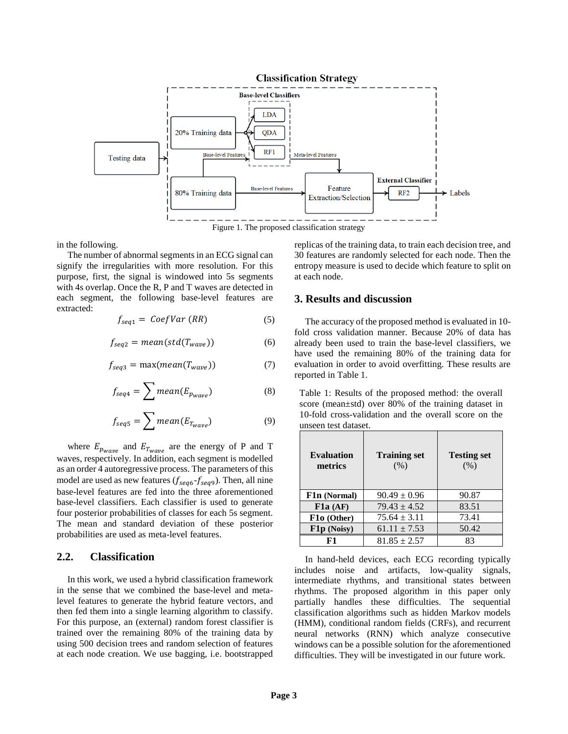

in the following.

The number of abnormal segments in an ECG signal can signify the irregularities with more resolution. For this purpose, first, the signal is windowed into 5s segments with 4s overlap. Once the R, P and T waves are detected in each segment, the following base-level features are extracted:

$$
f_{seq1} = CoeflVar (RR)
$$
 (5)

$$
f_{seq2} = mean(std(T_{wave}))
$$
 (6)

$$
f_{seq3} = \max(\text{mean}(T_{wave}))\tag{7}
$$

$$
f_{seq4} = \sum mean(E_{p_{wave}})
$$
 (8)

$$
f_{seq5} = \sum mean(E_{T_{wave}})
$$
 (9)

where  $E_{p_{wave}}$  and  $E_{T_{wave}}$  are the energy of P and T waves, respectively. In addition, each segment is modelled as an order 4 autoregressive process. The parameters of this model are used as new features  $(f_{seq 6} - f_{seq 9})$ . Then, all nine base-level features are fed into the three aforementioned base-level classifiers. Each classifier is used to generate four posterior probabilities of classes for each 5s segment. The mean and standard deviation of these posterior probabilities are used as meta-level features.

# **2.2. Classification**

In this work, we used a hybrid classification framework in the sense that we combined the base-level and metalevel features to generate the hybrid feature vectors, and then fed them into a single learning algorithm to classify. For this purpose, an (external) random forest classifier is trained over the remaining 80% of the training data by using 500 decision trees and random selection of features at each node creation. We use bagging, i.e. bootstrapped

replicas of the training data, to train each decision tree, and 30 features are randomly selected for each node. Then the entropy measure is used to decide which feature to split on at each node.

#### **3. Results and discussion**

The accuracy of the proposed method is evaluated in 10 fold cross validation manner. Because 20% of data has already been used to train the base-level classifiers, we have used the remaining 80% of the training data for evaluation in order to avoid overfitting. These results are reported in Table 1.

Table 1: Results of the proposed method: the overall score (mean±std) over 80% of the training dataset in 10-fold cross-validation and the overall score on the unseen test dataset.

| <b>Evaluation</b><br>metrics | <b>Training set</b><br>(% ) | <b>Testing set</b><br>(% ) |
|------------------------------|-----------------------------|----------------------------|
| F1n (Normal)                 | $90.49 \pm 0.96$            | 90.87                      |
| F1a (AF)                     | $79.43 \pm 4.52$            | 83.51                      |
| F10 (Other)                  | $75.64 \pm 3.11$            | 73.41                      |
| F1p (Noisy)                  | $61.11 \pm 7.53$            | 50.42                      |
| F1                           | $81.85 \pm 2.57$            | 83                         |

In hand-held devices, each ECG recording typically includes noise and artifacts, low-quality signals, intermediate rhythms, and transitional states between rhythms. The proposed algorithm in this paper only partially handles these difficulties. The sequential classification algorithms such as hidden Markov models (HMM), conditional random fields (CRFs), and recurrent neural networks (RNN) which analyze consecutive windows can be a possible solution for the aforementioned difficulties. They will be investigated in our future work.